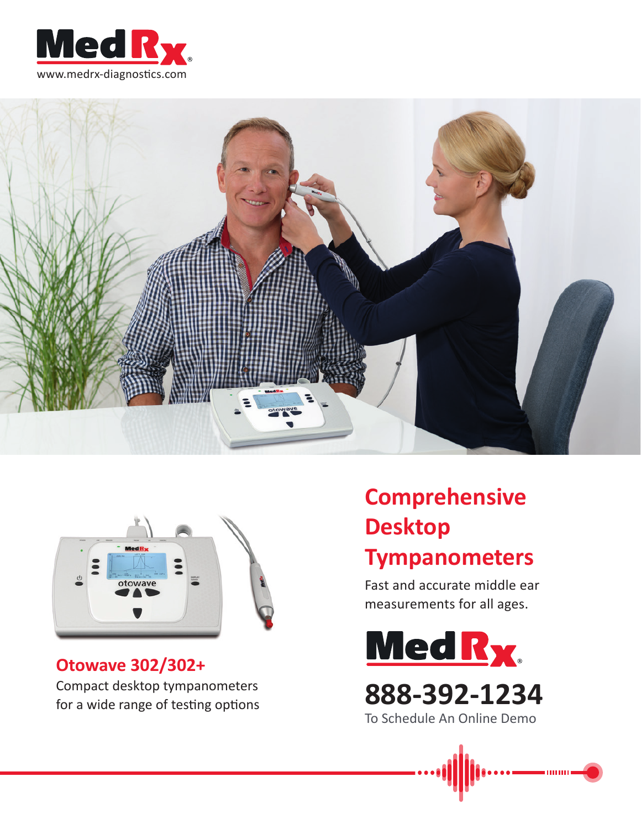





## **Otowave 302/302+** Compact desktop tympanometers for a wide range of testing options

# **Comprehensive Desktop Tympanometers**

Fast and accurate middle ear measurements for all ages.